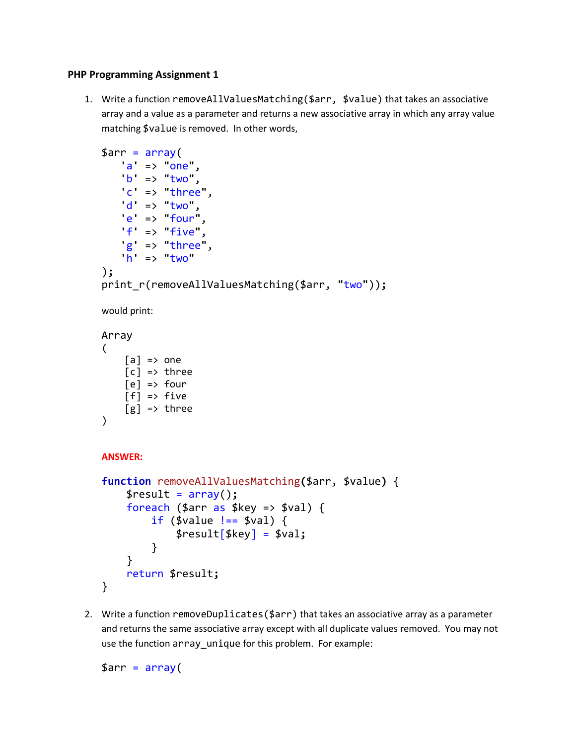## **PHP Programming Assignment 1**

1. Write a function removeAllValuesMatching(\$arr, \$value) that takes an associative array and a value as a parameter and returns a new associative array in which any array value matching \$value is removed. In other words,

```
$arr = array(
    'a' => "one",
    'b' => "two",
     'c' => "three",
    'd' => "two",
     'e' => "four",
     'f' => "five",
    'g' => "three",
    'h' => "two"
);
print_r(removeAllValuesMatching($arr, "two"));
would print:
Array
\left([a] \Rightarrow one
    [c] \Rightarrow three
    [el] => four
    [f] \Rightarrow five[g] \Rightarrow three
)
ANSWER:
function removeAllValuesMatching($arr, $value) {
      $result = array();
     \frac{1}{2} foreach ($arr as $key => $val) {
         if ($value != $val) {
               $result[$key] = $val;
           }
      }
     return $result;
```
- }
- 2. Write a function removeDuplicates(\$arr) that takes an associative array as a parameter and returns the same associative array except with all duplicate values removed. You may not use the function array\_unique for this problem. For example:

 $\text{\$arr} = \text{array}$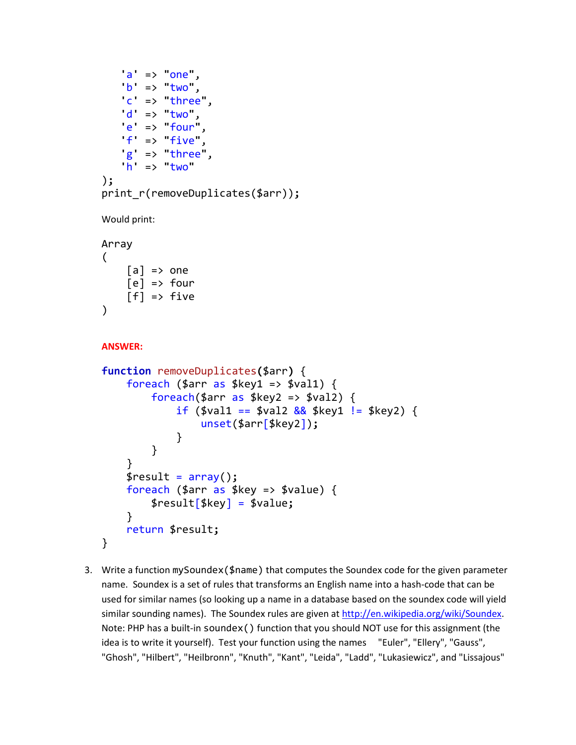```
 'a' => "one",
    'b' => "two",
     'c' => "three",
     'd' => "two",
     'e' => "four",
    f \Rightarrow five'' 'g' => "three",
    'h' => "two"
);
print_r(removeDuplicates($arr));
Would print:
Array
(
    [a] \Rightarrow one
    [e] \Rightarrow four
    [f] \Rightarrow \text{five}\lambdaANSWER:
function removeDuplicates($arr) {
    foreach ($arr as $key1 \Rightarrow $val1) {
         foreach($arr as $key2 => $val2) {
              if ($val1 == $val2 \&& $key1 != $key2) {
                    unset($arr[$key2]);
 }
          }
     }
     $result = array();
     foreach ($arr as $key => $value) {
          $result[$key] = $value;
     }
     return $result;
}
```
3. Write a function mySoundex(\$name) that computes the Soundex code for the given parameter name. Soundex is a set of rules that transforms an English name into a hash-code that can be used for similar names (so looking up a name in a database based on the soundex code will yield similar sounding names). The Soundex rules are given a[t http://en.wikipedia.org/wiki/Soundex.](http://en.wikipedia.org/wiki/Soundex) Note: PHP has a built-in soundex() function that you should NOT use for this assignment (the idea is to write it yourself). Test your function using the names "Euler", "Ellery", "Gauss", "Ghosh", "Hilbert", "Heilbronn", "Knuth", "Kant", "Leida", "Ladd", "Lukasiewicz", and "Lissajous"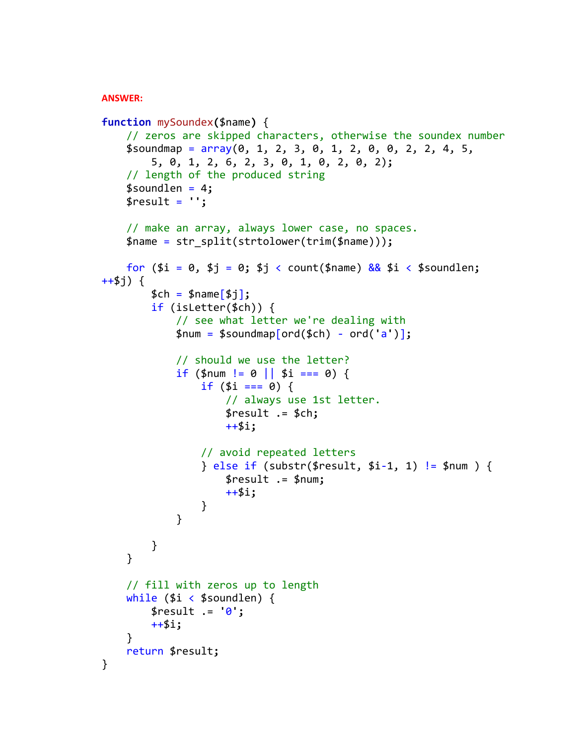## **ANSWER:**

```
function mySoundex($name) {
     // zeros are skipped characters, otherwise the soundex number
   $soundmap = array(0, 1, 2, 3, 0, 1, 2, 0, 0, 2, 2, 4, 5, 5, 0, 1, 2, 6, 2, 3, 0, 1, 0, 2, 0, 2);
     // length of the produced string
     $soundlen = 4;
    $result = ''; // make an array, always lower case, no spaces.
     $name = str_split(strtolower(trim($name)));
     for ($i = 0, $j = 0; $j < count($name) && $i < $soundlen; 
++$j) {
         $ch = $name[$j];
         if (isLetter($ch)) {
             // see what letter we're dealing with
             $num = $soundmap[ord($ch) - ord('a')];
             // should we use the letter?
            if ($num != 0 || $i === 0) {
                if ($i === 0) {
                     // always use 1st letter.
                    $result .= $ch;
                    ++$i;
                 // avoid repeated letters
                 } else if (substr($result, $i-1, 1) != $num ) {
                     $result .= $num;
                    ++$i;
 }
 }
        }
     }
     // fill with zeros up to length
    while ($i < $soundlen) {
         $result .= '0';
         ++$i;
     }
     return $result;
}
```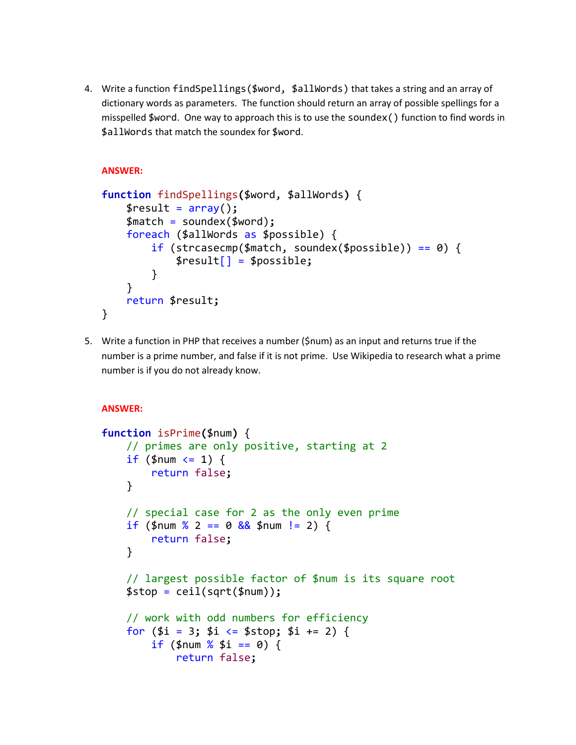4. Write a function findSpellings(\$word, \$allWords) that takes a string and an array of dictionary words as parameters. The function should return an array of possible spellings for a misspelled \$word. One way to approach this is to use the soundex() function to find words in \$allWords that match the soundex for \$word.

```
ANSWER:
```

```
function findSpellings($word, $allWords) {
     $result = array();
     $match = soundex($word);
     foreach ($allWords as $possible) {
         if (strcasecmp($match, soundex($possible)) == 0) {
             $result[] = $possible;
         }
     }
     return $result;
}
```
5. Write a function in PHP that receives a number (\$num) as an input and returns true if the number is a prime number, and false if it is not prime. Use Wikipedia to research what a prime number is if you do not already know.

```
ANSWER:
```

```
function isPrime($num) {
     // primes are only positive, starting at 2
    if ($num \leq 1) {
          return false;
     }
     // special case for 2 as the only even prime
    if ($num % 2 == 0 \frac{88}{9} $num != 2) {
          return false;
     }
     // largest possible factor of $num is its square root
     $stop = ceil(sqrt($num));
     // work with odd numbers for efficiency
     for ($i = 3; $i <= $stop; $i += 2) {
         if (\frac{1}{2}m \times \frac{1}{2} = 0) {
              return false;
```